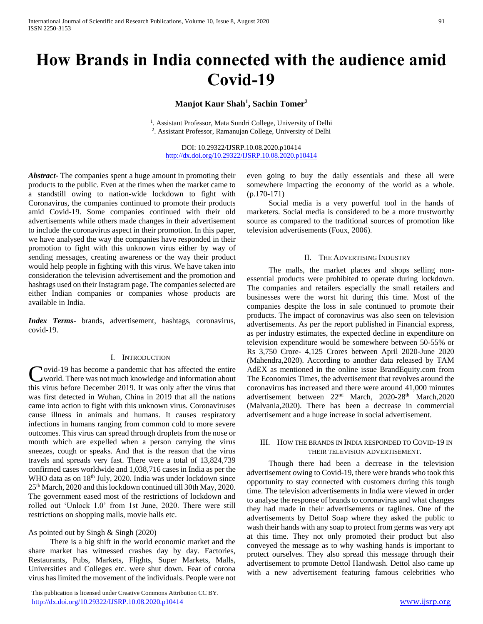# **How Brands in India connected with the audience amid Covid-19**

**Manjot Kaur Shah<sup>1</sup> , Sachin Tomer<sup>2</sup>**

<sup>1</sup>. Assistant Professor, Mata Sundri College, University of Delhi 2 . Assistant Professor, Ramanujan College, University of Delhi

DOI: 10.29322/IJSRP.10.08.2020.p10414 <http://dx.doi.org/10.29322/IJSRP.10.08.2020.p10414>

*Abstract***-** The companies spent a huge amount in promoting their products to the public. Even at the times when the market came to a standstill owing to nation-wide lockdown to fight with Coronavirus, the companies continued to promote their products amid Covid-19. Some companies continued with their old advertisements while others made changes in their advertisement to include the coronavirus aspect in their promotion. In this paper, we have analysed the way the companies have responded in their promotion to fight with this unknown virus either by way of sending messages, creating awareness or the way their product would help people in fighting with this virus. We have taken into consideration the television advertisement and the promotion and hashtags used on their Instagram page. The companies selected are either Indian companies or companies whose products are available in India.

*Index Terms*- brands, advertisement, hashtags, coronavirus, covid-19.

#### I. INTRODUCTION

**Novid-19** has become a pandemic that has affected the entire world. There was not much knowledge and information about Covid-19 has become a pandemic that has affected the entire<br>world. There was not much knowledge and information about<br>this virus before December 2019. It was only after the virus that was first detected in Wuhan, China in 2019 that all the nations came into action to fight with this unknown virus. Coronaviruses cause illness in animals and humans. It causes respiratory infections in humans ranging from common cold to more severe outcomes. This virus can spread through droplets from the nose or mouth which are expelled when a person carrying the virus sneezes, cough or speaks. And that is the reason that the virus travels and spreads very fast. There were a total of 13,824,739 confirmed cases worldwide and 1,038,716 cases in India as per the WHO data as on 18<sup>th</sup> July, 2020. India was under lockdown since 25th March, 2020 and this lockdown continued till 30th May, 2020. The government eased most of the restrictions of lockdown and rolled out 'Unlock 1.0' from 1st June, 2020. There were still restrictions on shopping malls, movie halls etc.

## As pointed out by Singh & Singh (2020)

 There is a big shift in the world economic market and the share market has witnessed crashes day by day. Factories, Restaurants, Pubs, Markets, Flights, Super Markets, Malls, Universities and Colleges etc. were shut down. Fear of corona virus has limited the movement of the individuals. People were not

 This publication is licensed under Creative Commons Attribution CC BY. <http://dx.doi.org/10.29322/IJSRP.10.08.2020.p10414> [www.ijsrp.org](http://ijsrp.org/)

even going to buy the daily essentials and these all were somewhere impacting the economy of the world as a whole. (p.170-171)

 Social media is a very powerful tool in the hands of marketers. Social media is considered to be a more trustworthy source as compared to the traditional sources of promotion like television advertisements (Foux, 2006).

#### II. THE ADVERTISING INDUSTRY

 The malls, the market places and shops selling nonessential products were prohibited to operate during lockdown. The companies and retailers especially the small retailers and businesses were the worst hit during this time. Most of the companies despite the loss in sale continued to promote their products. The impact of coronavirus was also seen on television advertisements. As per the report published in Financial express, as per industry estimates, the expected decline in expenditure on television expenditure would be somewhere between 50-55% or Rs 3,750 Crore- 4,125 Crores between April 2020-June 2020 (Mahendra,2020). According to another data released by TAM AdEX as mentioned in the online issue BrandEquity.com from The Economics Times, the advertisement that revolves around the coronavirus has increased and there were around 41,000 minutes advertisement between 22nd March, 2020-28th March,2020 (Malvania,2020). There has been a decrease in commercial advertisement and a huge increase in social advertisement.

#### III. HOW THE BRANDS IN INDIA RESPONDED TO COVID-19 IN THEIR TELEVISION ADVERTISEMENT.

 Though there had been a decrease in the television advertisement owing to Covid-19, there were brands who took this opportunity to stay connected with customers during this tough time. The television advertisements in India were viewed in order to analyse the response of brands to coronavirus and what changes they had made in their advertisements or taglines. One of the advertisements by Dettol Soap where they asked the public to wash their hands with any soap to protect from germs was very apt at this time. They not only promoted their product but also conveyed the message as to why washing hands is important to protect ourselves. They also spread this message through their advertisement to promote Dettol Handwash. Dettol also came up with a new advertisement featuring famous celebrities who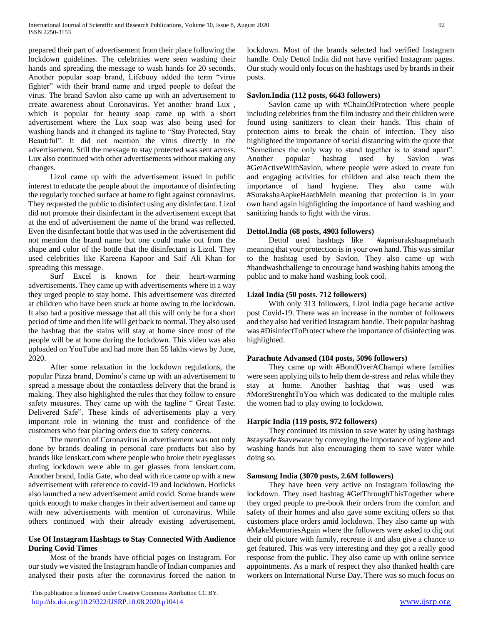prepared their part of advertisement from their place following the lockdown guidelines. The celebrities were seen washing their hands and spreading the message to wash hands for 20 seconds. Another popular soap brand, Lifebuoy added the term "virus fighter" with their brand name and urged people to defeat the virus. The brand Savlon also came up with an advertisement to create awareness about Coronavirus. Yet another brand Lux , which is popular for beauty soap came up with a short advertisement where the Lux soap was also being used for washing hands and it changed its tagline to "Stay Protected, Stay Beautiful". It did not mention the virus directly in the advertisement. Still the message to stay protected was sent across. Lux also continued with other advertisements without making any changes.

 Lizol came up with the advertisement issued in public interest to educate the people about the importance of disinfecting the regularly touched surface at home to fight against coronavirus. They requested the public to disinfect using any disinfectant. Lizol did not promote their disinfectant in the advertisement except that at the end of advertisement the name of the brand was reflected. Even the disinfectant bottle that was used in the advertisement did not mention the brand name but one could make out from the shape and color of the bottle that the disinfectant is Lizol. They used celebrities like Kareena Kapoor and Saif Ali Khan for spreading this message.

 Surf Excel is known for their heart-warming advertisements. They came up with advertisements where in a way they urged people to stay home. This advertisement was directed at children who have been stuck at home owing to the lockdown. It also had a positive message that all this will only be for a short period of time and then life will get back to normal. They also used the hashtag that the stains will stay at home since most of the people will be at home during the lockdown. This video was also uploaded on YouTube and had more than 55 lakhs views by June, 2020.

 After some relaxation in the lockdown regulations, the popular Pizza brand, Domino's came up with an advertisement to spread a message about the contactless delivery that the brand is making. They also highlighted the rules that they follow to ensure safety measures. They came up with the tagline " Great Taste. Delivered Safe". These kinds of advertisements play a very important role in winning the trust and confidence of the customers who fear placing orders due to safety concerns.

 The mention of Coronavirus in advertisement was not only done by brands dealing in personal care products but also by brands like lenskart.com where people who broke their eyeglasses during lockdown were able to get glasses from lenskart.com. Another brand, India Gate, who deal with rice came up with a new advertisement with reference to covid-19 and lockdown. Horlicks also launched a new advertisement amid covid. Some brands were quick enough to make changes in their advertisement and came up with new advertisements with mention of coronavirus. While others continued with their already existing advertisement.

# **Use Of Instagram Hashtags to Stay Connected With Audience During Covid Times**

 Most of the brands have official pages on Instagram. For our study we visited the Instagram handle of Indian companies and analysed their posts after the coronavirus forced the nation to lockdown. Most of the brands selected had verified Instagram handle. Only Dettol India did not have verified Instagram pages. Our study would only focus on the hashtags used by brands in their posts.

## **Savlon.India (112 posts, 6643 followers)**

 Savlon came up with #ChainOfProtection where people including celebrities from the film industry and their children were found using sanitizers to clean their hands. This chain of protection aims to break the chain of infection. They also highlighted the importance of social distancing with the quote that "Sometimes the only way to stand together is to stand apart". Another popular hashtag used by Savlon was #GetActiveWithSavlon, where people were asked to create fun and engaging activities for children and also teach them the importance of hand hygiene. They also came with #SurakshaAapkeHaathMein meaning that protection is in your own hand again highlighting the importance of hand washing and sanitizing hands to fight with the virus.

## **Dettol.India (68 posts, 4903 followers)**

 Dettol used hashtags like #apnisurakshaapnehaath meaning that your protection is in your own hand. This was similar to the hashtag used by Savlon. They also came up with #handwashchallenge to encourage hand washing habits among the public and to make hand washing look cool.

# **Lizol India (50 posts. 712 followers)**

 With only 313 followers, Lizol India page became active post Covid-19. There was an increase in the number of followers and they also had verified Instagram handle. Their popular hashtag was #DisinfectToProtect where the importance of disinfecting was highlighted.

## **Parachute Advansed (184 posts, 5096 followers)**

 They came up with #BondOverAChampi where families were seen applying oils to help them de-stress and relax while they stay at home. Another hashtag that was used was #MoreStrenghtToYou which was dedicated to the multiple roles the women had to play owing to lockdown.

## **Harpic India (119 posts, 972 followers)**

 They continued its mission to save water by using hashtags #staysafe #savewater by conveying the importance of hygiene and washing hands but also encouraging them to save water while doing so.

## **Samsung India (3070 posts, 2.6M followers)**

 They have been very active on Instagram following the lockdown. They used hashtag #GetThroughThisTogether where they urged people to pre-book their orders from the comfort and safety of their homes and also gave some exciting offers so that customers place orders amid lockdown. They also came up with #MakeMemoriesAgain where the followers were asked to dig out their old picture with family, recreate it and also give a chance to get featured. This was very interesting and they got a really good response from the public. They also came up with online service appointments. As a mark of respect they also thanked health care workers on International Nurse Day. There was so much focus on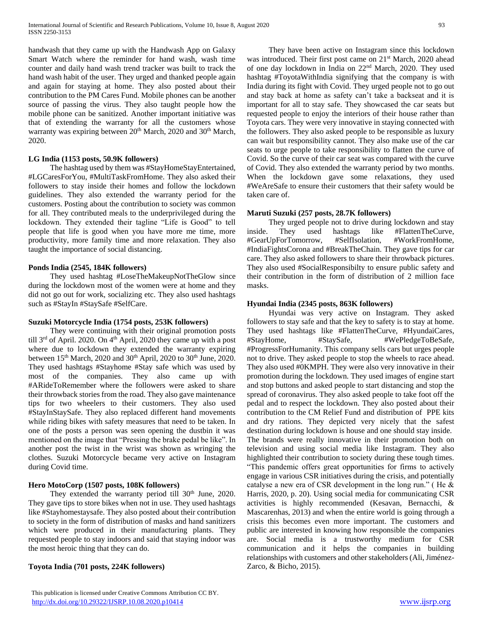handwash that they came up with the Handwash App on Galaxy Smart Watch where the reminder for hand wash, wash time counter and daily hand wash trend tracker was built to track the hand wash habit of the user. They urged and thanked people again and again for staying at home. They also posted about their contribution to the PM Cares Fund. Mobile phones can be another source of passing the virus. They also taught people how the mobile phone can be sanitized. Another important initiative was that of extending the warranty for all the customers whose warranty was expiring between 20<sup>th</sup> March, 2020 and 30<sup>th</sup> March, 2020.

## **LG India (1153 posts, 50.9K followers)**

 The hashtag used by them was #StayHomeStayEntertained, #LGCaresForYou, #MultiTaskFromHome. They also asked their followers to stay inside their homes and follow the lockdown guidelines. They also extended the warranty period for the customers. Posting about the contribution to society was common for all. They contributed meals to the underprivileged during the lockdown. They extended their tagline "Life is Good" to tell people that life is good when you have more me time, more productivity, more family time and more relaxation. They also taught the importance of social distancing.

# **Ponds India (2545, 184K followers)**

 They used hashtag #LoseTheMakeupNotTheGlow since during the lockdown most of the women were at home and they did not go out for work, socializing etc. They also used hashtags such as #StayIn #StaySafe #SelfCare.

## **Suzuki Motorcycle India (1754 posts, 253K followers)**

 They were continuing with their original promotion posts till 3<sup>rd</sup> of April. 2020. On 4<sup>th</sup> April, 2020 they came up with a post where due to lockdown they extended the warranty expiring between  $15<sup>th</sup>$  March, 2020 and 30<sup>th</sup> April, 2020 to 30<sup>th</sup> June, 2020. They used hashtags #Stayhome #Stay safe which was used by most of the companies. They also came up with #ARideToRemember where the followers were asked to share their throwback stories from the road. They also gave maintenance tips for two wheelers to their customers. They also used #StayInStaySafe. They also replaced different hand movements while riding bikes with safety measures that need to be taken. In one of the posts a person was seen opening the dustbin it was mentioned on the image that "Pressing the brake pedal be like". In another post the twist in the wrist was shown as wringing the clothes. Suzuki Motorcycle became very active on Instagram during Covid time.

# **Hero MotoCorp (1507 posts, 108K followers)**

They extended the warranty period till  $30<sup>th</sup>$  June, 2020. They gave tips to store bikes when not in use. They used hashtags like #Stayhomestaysafe. They also posted about their contribution to society in the form of distribution of masks and hand sanitizers which were produced in their manufacturing plants. They requested people to stay indoors and said that staying indoor was the most heroic thing that they can do.

## **Toyota India (701 posts, 224K followers)**

 They have been active on Instagram since this lockdown was introduced. Their first post came on 21<sup>st</sup> March, 2020 ahead of one day lockdown in India on 22nd March, 2020. They used hashtag #ToyotaWithIndia signifying that the company is with India during its fight with Covid. They urged people not to go out and stay back at home as safety can't take a backseat and it is important for all to stay safe. They showcased the car seats but requested people to enjoy the interiors of their house rather than Toyota cars. They were very innovative in staying connected with the followers. They also asked people to be responsible as luxury can wait but responsibility cannot. They also make use of the car seats to urge people to take responsibility to flatten the curve of Covid. So the curve of their car seat was compared with the curve of Covid. They also extended the warranty period by two months. When the lockdown gave some relaxations, they used #WeAreSafe to ensure their customers that their safety would be taken care of.

# **Maruti Suzuki (257 posts, 28.7K followers)**

 They urged people not to drive during lockdown and stay inside. They used hashtags like #FlattenTheCurve, #GearUpForTomorrow, #SelfIsolation, #WorkFromHome, #IndiaFightsCorona and #BreakTheChain. They gave tips for car care. They also asked followers to share their throwback pictures. They also used #SocialResponsibilty to ensure public safety and their contribution in the form of distribution of 2 million face masks.

# **Hyundai India (2345 posts, 863K followers)**

 Hyundai was very active on Instagram. They asked followers to stay safe and that the key to safety is to stay at home. They used hashtags like #FlattenTheCurve, #HyundaiCares, #StayHome, #StaySafe, #WePledgeToBeSafe, #ProgressForHumanity. This company sells cars but urges people not to drive. They asked people to stop the wheels to race ahead. They also used #0KMPH. They were also very innovative in their promotion during the lockdown. They used images of engine start and stop buttons and asked people to start distancing and stop the spread of coronavirus. They also asked people to take foot off the pedal and to respect the lockdown. They also posted about their contribution to the CM Relief Fund and distribution of PPE kits and dry rations. They depicted very nicely that the safest destination during lockdown is house and one should stay inside. The brands were really innovative in their promotion both on television and using social media like Instagram. They also highlighted their contribution to society during these tough times. "This pandemic offers great opportunities for firms to actively engage in various CSR initiatives during the crisis, and potentially catalyse a new era of CSR development in the long run." ( He & Harris, 2020, p. 20). Using social media for communicating CSR activities is highly recommended (Kesavan, Bernacchi, & Mascarenhas, 2013) and when the entire world is going through a crisis this becomes even more important. The customers and public are interested in knowing how responsible the companies are. Social media is a trustworthy medium for CSR communication and it helps the companies in building relationships with customers and other stakeholders (Ali, Jiménez-Zarco, & Bicho, 2015).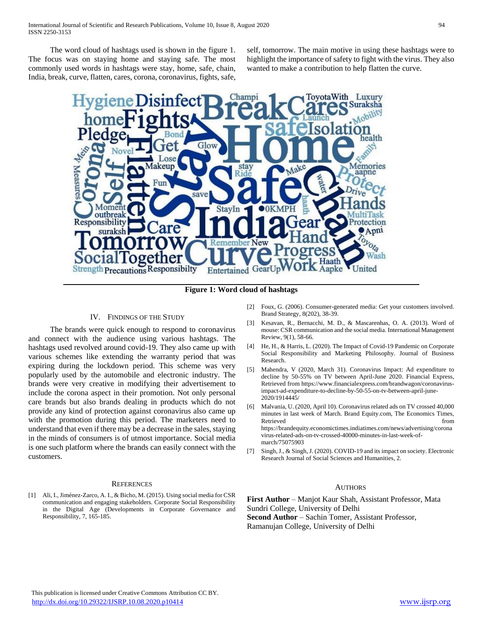The word cloud of hashtags used is shown in the figure 1. The focus was on staying home and staying safe. The most commonly used words in hashtags were stay, home, safe, chain, India, break, curve, flatten, cares, corona, coronavirus, fights, safe, self, tomorrow. The main motive in using these hashtags were to highlight the importance of safety to fight with the virus. They also wanted to make a contribution to help flatten the curve.



**Figure 1: Word cloud of hashtags**

#### IV. FINDINGS OF THE STUDY

 The brands were quick enough to respond to coronavirus and connect with the audience using various hashtags. The hashtags used revolved around covid-19. They also came up with various schemes like extending the warranty period that was expiring during the lockdown period. This scheme was very popularly used by the automobile and electronic industry. The brands were very creative in modifying their advertisement to include the corona aspect in their promotion. Not only personal care brands but also brands dealing in products which do not provide any kind of protection against coronavirus also came up with the promotion during this period. The marketers need to understand that even if there may be a decrease in the sales, staying in the minds of consumers is of utmost importance. Social media is one such platform where the brands can easily connect with the customers.

#### **REFERENCES**

[1] Ali, I., Jiménez-Zarco, A. I., & Bicho, M. (2015). Using social media for CSR communication and engaging stakeholders. Corporate Social Responsibility in the Digital Age (Developments in Corporate Governance and Responsibility, 7, 165-185.

- [2] Foux, G. (2006). Consumer-generated media: Get your customers involved. Brand Strategy, 8(202), 38-39.
- [3] Kesavan, R., Bernacchi, M. D., & Mascarenhas, O. A. (2013). Word of mouse: CSR communication and the social media. International Management Review, 9(1), 58-66.
- [4] He, H., & Harris, L. (2020). The Impact of Covid-19 Pandemic on Corporate Social Responsibility and Marketing Philosophy. Journal of Business Research.
- [5] Mahendra, V (2020, March 31). Coronavirus Impact: Ad expenditure to decline by 50-55% on TV between April-June 2020. Financial Express, Retrieved from https://www.financialexpress.com/brandwagon/coronavirusimpact-ad-expenditure-to-decline-by-50-55-on-tv-between-april-june-2020/1914445/
- [6] Malvania, U. (2020, April 10). Coronavirus related ads on TV crossed 40,000 minutes in last week of March. Brand Equity.com, The Economics Times, Retrieved from https://brandequity.economictimes.indiatimes.com/news/advertising/corona virus-related-ads-on-tv-crossed-40000-minutes-in-last-week-ofmarch/75075903
- [7] Singh, J., & Singh, J. (2020). COVID-19 and its impact on society. Electronic Research Journal of Social Sciences and Humanities, 2.

#### AUTHORS

**First Author** – Manjot Kaur Shah, Assistant Professor, Mata Sundri College, University of Delhi **Second Author** – Sachin Tomer, Assistant Professor,

Ramanujan College, University of Delhi